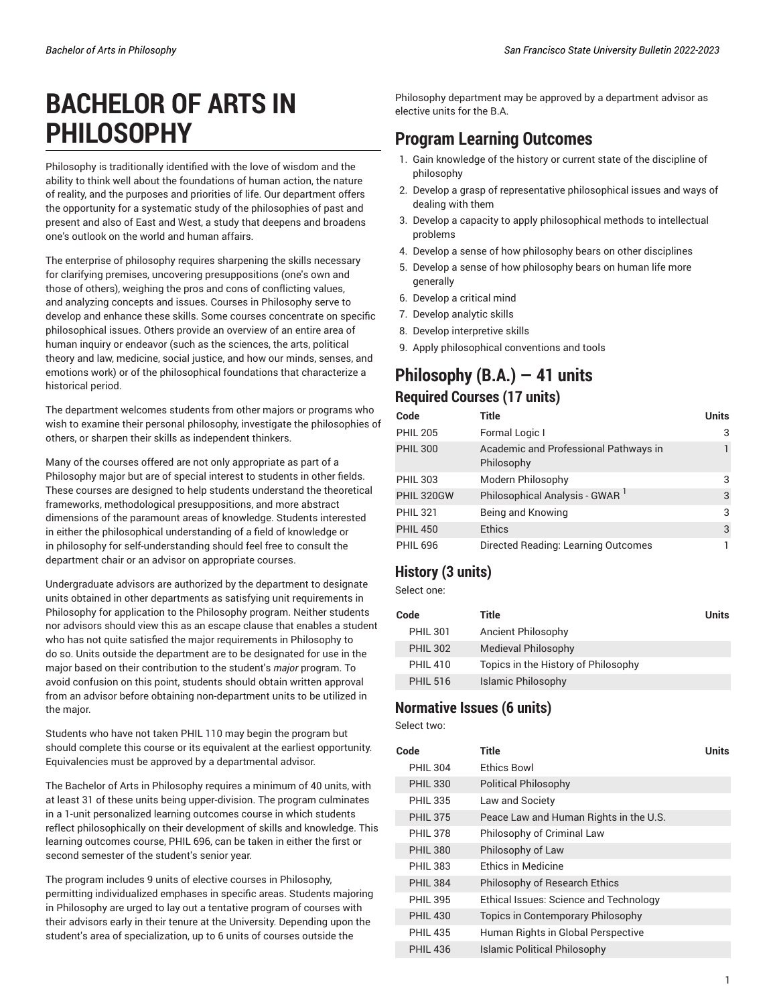# **BACHELOR OF ARTS IN PHILOSOPHY**

Philosophy is traditionally identified with the love of wisdom and the ability to think well about the foundations of human action, the nature of reality, and the purposes and priorities of life. Our department offers the opportunity for a systematic study of the philosophies of past and present and also of East and West, a study that deepens and broadens one's outlook on the world and human affairs.

The enterprise of philosophy requires sharpening the skills necessary for clarifying premises, uncovering presuppositions (one's own and those of others), weighing the pros and cons of conflicting values, and analyzing concepts and issues. Courses in Philosophy serve to develop and enhance these skills. Some courses concentrate on specific philosophical issues. Others provide an overview of an entire area of human inquiry or endeavor (such as the sciences, the arts, political theory and law, medicine, social justice, and how our minds, senses, and emotions work) or of the philosophical foundations that characterize a historical period.

The department welcomes students from other majors or programs who wish to examine their personal philosophy, investigate the philosophies of others, or sharpen their skills as independent thinkers.

Many of the courses offered are not only appropriate as part of a Philosophy major but are of special interest to students in other fields. These courses are designed to help students understand the theoretical frameworks, methodological presuppositions, and more abstract dimensions of the paramount areas of knowledge. Students interested in either the philosophical understanding of a field of knowledge or in philosophy for self-understanding should feel free to consult the department chair or an advisor on appropriate courses.

Undergraduate advisors are authorized by the department to designate units obtained in other departments as satisfying unit requirements in Philosophy for application to the Philosophy program. Neither students nor advisors should view this as an escape clause that enables a student who has not quite satisfied the major requirements in Philosophy to do so. Units outside the department are to be designated for use in the major based on their contribution to the student's *major* program. To avoid confusion on this point, students should obtain written approval from an advisor before obtaining non-department units to be utilized in the major.

Students who have not taken PHIL 110 may begin the program but should complete this course or its equivalent at the earliest opportunity. Equivalencies must be approved by a departmental advisor.

The Bachelor of Arts in Philosophy requires a minimum of 40 units, with at least 31 of these units being upper-division. The program culminates in a 1-unit personalized learning outcomes course in which students reflect philosophically on their development of skills and knowledge. This learning outcomes course, PHIL 696, can be taken in either the first or second semester of the student's senior year.

The program includes 9 units of elective courses in Philosophy, permitting individualized emphases in specific areas. Students majoring in Philosophy are urged to lay out a tentative program of courses with their advisors early in their tenure at the University. Depending upon the student's area of specialization, up to 6 units of courses outside the

Philosophy department may be approved by a department advisor as elective units for the B.A.

# **Program Learning Outcomes**

- 1. Gain knowledge of the history or current state of the discipline of philosophy
- 2. Develop a grasp of representative philosophical issues and ways of dealing with them
- 3. Develop a capacity to apply philosophical methods to intellectual problems
- 4. Develop a sense of how philosophy bears on other disciplines
- 5. Develop a sense of how philosophy bears on human life more generally
- 6. Develop a critical mind
- 7. Develop analytic skills
- 8. Develop interpretive skills
- 9. Apply philosophical conventions and tools

### **Philosophy (B.A.) — 41 units Required Courses (17 units)**

| Code            | Title                                               | <b>Units</b> |
|-----------------|-----------------------------------------------------|--------------|
| <b>PHIL 205</b> | Formal Logic I                                      | 3            |
| <b>PHIL 300</b> | Academic and Professional Pathways in<br>Philosophy |              |
| <b>PHIL 303</b> | Modern Philosophy                                   | 3            |
| PHIL 320GW      | Philosophical Analysis - GWAR <sup>1</sup>          | 3            |
| <b>PHIL 321</b> | Being and Knowing                                   | 3            |
| <b>PHIL 450</b> | <b>Ethics</b>                                       | 3            |
| <b>PHIL 696</b> | Directed Reading: Learning Outcomes                 |              |

### **History (3 units)**

Select one:

| Code            | Title                               | <b>Units</b> |
|-----------------|-------------------------------------|--------------|
| <b>PHIL 301</b> | Ancient Philosophy                  |              |
| <b>PHIL 302</b> | Medieval Philosophy                 |              |
| <b>PHIL 410</b> | Topics in the History of Philosophy |              |
| <b>PHIL 516</b> | Islamic Philosophy                  |              |

### **Normative Issues (6 units)**

Select two:

| Code            | Title                                  | Units |
|-----------------|----------------------------------------|-------|
| <b>PHIL 304</b> | <b>Ethics Bowl</b>                     |       |
| <b>PHIL 330</b> | <b>Political Philosophy</b>            |       |
| <b>PHIL 335</b> | Law and Society                        |       |
| <b>PHIL 375</b> | Peace Law and Human Rights in the U.S. |       |
| <b>PHIL 378</b> | Philosophy of Criminal Law             |       |
| <b>PHIL 380</b> | Philosophy of Law                      |       |
| <b>PHIL 383</b> | <b>Ethics in Medicine</b>              |       |
| <b>PHIL 384</b> | Philosophy of Research Ethics          |       |
| <b>PHIL 395</b> | Ethical Issues: Science and Technology |       |
| <b>PHIL 430</b> | Topics in Contemporary Philosophy      |       |
| <b>PHIL 435</b> | Human Rights in Global Perspective     |       |
| <b>PHIL 436</b> | <b>Islamic Political Philosophy</b>    |       |
|                 |                                        |       |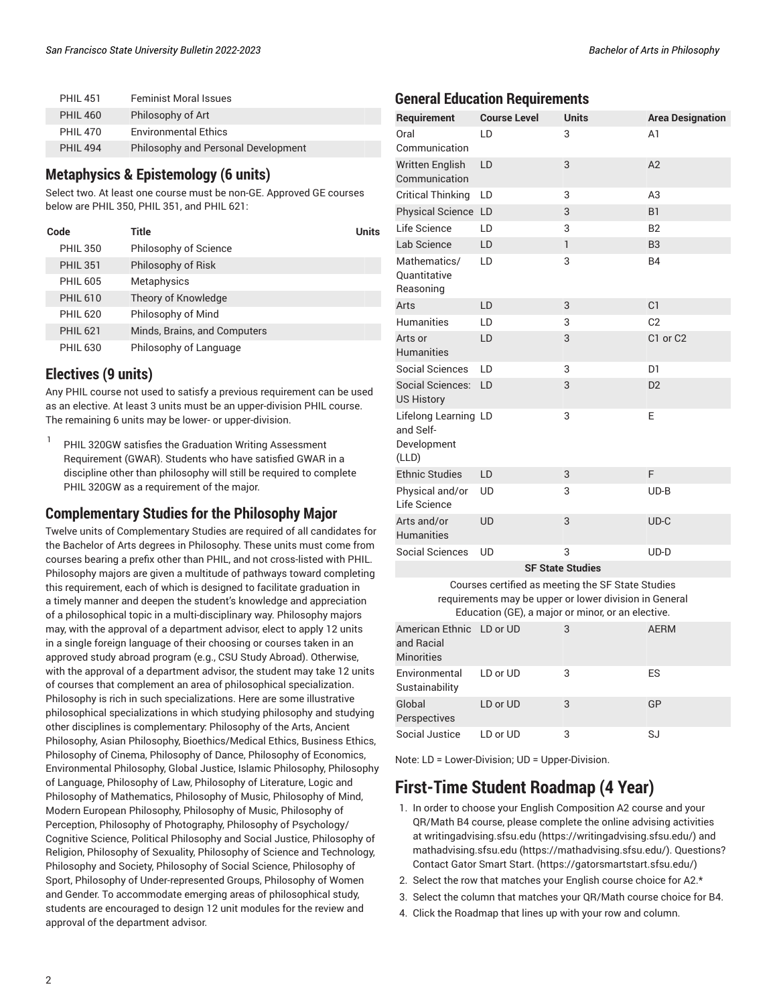| <b>PHII 451</b> | <b>Feminist Moral Issues</b>        |
|-----------------|-------------------------------------|
| <b>PHIL 460</b> | Philosophy of Art                   |
| <b>PHIL 470</b> | <b>Environmental Ethics</b>         |
| <b>PHII 494</b> | Philosophy and Personal Development |
|                 |                                     |

#### **Metaphysics & Epistemology (6 units)**

Select two. At least one course must be non-GE. Approved GE courses below are PHIL 350, PHIL 351, and PHIL 621:

| Code            | <b>Title</b>                 | Units |
|-----------------|------------------------------|-------|
| <b>PHIL 350</b> | Philosophy of Science        |       |
| <b>PHIL 351</b> | Philosophy of Risk           |       |
| <b>PHIL 605</b> | Metaphysics                  |       |
| <b>PHIL 610</b> | Theory of Knowledge          |       |
| <b>PHIL 620</b> | Philosophy of Mind           |       |
| <b>PHIL 621</b> | Minds, Brains, and Computers |       |
| <b>PHIL 630</b> | Philosophy of Language       |       |

#### **Electives (9 units)**

Any PHIL course not used to satisfy a previous requirement can be used as an elective. At least 3 units must be an upper-division PHIL course. The remaining 6 units may be lower- or upper-division.

1 PHIL 320GW satisfies the Graduation Writing Assessment Requirement (GWAR). Students who have satisfied GWAR in a discipline other than philosophy will still be required to complete PHIL 320GW as a requirement of the major.

#### **Complementary Studies for the Philosophy Major**

Twelve units of Complementary Studies are required of all candidates for the Bachelor of Arts degrees in Philosophy. These units must come from courses bearing a prefix other than PHIL, and not cross-listed with PHIL. Philosophy majors are given a multitude of pathways toward completing this requirement, each of which is designed to facilitate graduation in a timely manner and deepen the student's knowledge and appreciation of a philosophical topic in a multi-disciplinary way. Philosophy majors may, with the approval of a department advisor, elect to apply 12 units in a single foreign language of their choosing or courses taken in an approved study abroad program (e.g., CSU Study Abroad). Otherwise, with the approval of a department advisor, the student may take 12 units of courses that complement an area of philosophical specialization. Philosophy is rich in such specializations. Here are some illustrative philosophical specializations in which studying philosophy and studying other disciplines is complementary: Philosophy of the Arts, Ancient Philosophy, Asian Philosophy, Bioethics/Medical Ethics, Business Ethics, Philosophy of Cinema, Philosophy of Dance, Philosophy of Economics, Environmental Philosophy, Global Justice, Islamic Philosophy, Philosophy of Language, Philosophy of Law, Philosophy of Literature, Logic and Philosophy of Mathematics, Philosophy of Music, Philosophy of Mind, Modern European Philosophy, Philosophy of Music, Philosophy of Perception, Philosophy of Photography, Philosophy of Psychology/ Cognitive Science, Political Philosophy and Social Justice, Philosophy of Religion, Philosophy of Sexuality, Philosophy of Science and Technology, Philosophy and Society, Philosophy of Social Science, Philosophy of Sport, Philosophy of Under-represented Groups, Philosophy of Women and Gender. To accommodate emerging areas of philosophical study, students are encouraged to design 12 unit modules for the review and approval of the department advisor.

#### **General Education Requirements**

| Requirement                                                                                                                                                      | <b>Course Level</b> | <b>Units</b>            | <b>Area Designation</b> |
|------------------------------------------------------------------------------------------------------------------------------------------------------------------|---------------------|-------------------------|-------------------------|
| Oral<br>Communication                                                                                                                                            | LD                  | 3                       | A1                      |
| <b>Written English</b><br>Communication                                                                                                                          | LD                  | 3                       | A2                      |
| Critical Thinking                                                                                                                                                | LD                  | 3                       | A3                      |
| Physical Science LD                                                                                                                                              |                     | 3                       | B1                      |
| Life Science                                                                                                                                                     | LD                  | 3                       | <b>B2</b>               |
| Lab Science                                                                                                                                                      | LD                  | $\mathbf{1}$            | B <sub>3</sub>          |
| Mathematics/<br>Quantitative<br>Reasoning                                                                                                                        | LD                  | 3                       | <b>B4</b>               |
| Arts                                                                                                                                                             | LD                  | 3                       | C <sub>1</sub>          |
| Humanities                                                                                                                                                       | LD                  | 3                       | C <sub>2</sub>          |
| Arts or<br><b>Humanities</b>                                                                                                                                     | LD                  | 3                       | C1 or C2                |
| Social Sciences                                                                                                                                                  | LD                  | 3                       | D <sub>1</sub>          |
| <b>Social Sciences:</b><br><b>US History</b>                                                                                                                     | LD                  | 3                       | D <sub>2</sub>          |
| Lifelong Learning LD<br>and Self-<br>Development<br>(LLD)                                                                                                        |                     | 3                       | Ε                       |
| <b>Ethnic Studies</b>                                                                                                                                            | LD                  | 3                       | F                       |
| Physical and/or<br>Life Science                                                                                                                                  | UD                  | 3                       | $UD-B$                  |
| Arts and/or<br><b>Humanities</b>                                                                                                                                 | <b>UD</b>           | 3                       | $UD-C$                  |
| <b>Social Sciences</b>                                                                                                                                           | <b>UD</b>           | 3                       | $UD-D$                  |
|                                                                                                                                                                  |                     | <b>SF State Studies</b> |                         |
| Courses certified as meeting the SF State Studies<br>requirements may be upper or lower division in General<br>Education (GE), a major or minor, or an elective. |                     |                         |                         |
| American Ethnic LD or UD<br>and Racial<br><b>Minorities</b>                                                                                                      |                     | 3                       | <b>AERM</b>             |
| Environmental<br>Sustainability                                                                                                                                  | LD or UD            | 3                       | ES                      |
| Global                                                                                                                                                           | LD or UD            | 3                       | GP                      |

Note: LD = Lower-Division; UD = Upper-Division.

[Perspectives](/undergraduate-education/sf-state-studies/gp/)

# **First-Time Student Roadmap (4 Year)**

[Social Justice](/undergraduate-education/sf-state-studies/sj/) LD or UD 3 3 SJ

- 1. In order to choose your English Composition A2 course and your QR/Math B4 course, please complete the online advising activities at [writingadvising.sfsu.edu \(https://writingadvising.sfsu.edu/](https://writingadvising.sfsu.edu/)) and [mathadvising.sfsu.edu \(https://mathadvising.sfsu.edu/](https://mathadvising.sfsu.edu/)). Questions? Contact Gator [Smart](https://gatorsmartstart.sfsu.edu/) Start. ([https://gatorsmartstart.sfsu.edu/\)](https://gatorsmartstart.sfsu.edu/)
- 2. Select the row that matches your English course choice for A2.\*
- 3. Select the column that matches your QR/Math course choice for B4.
- 4. Click the Roadmap that lines up with your row and column.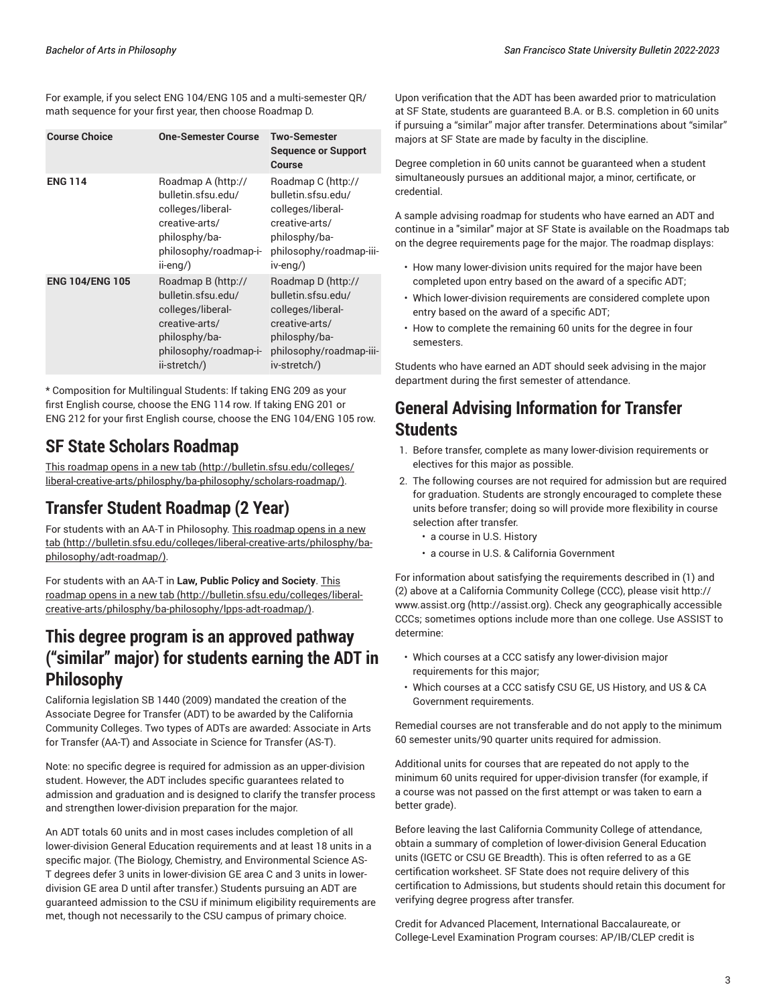For example, if you select ENG 104/ENG 105 and a multi-semester QR/ math sequence for your first year, then choose Roadmap D.

| <b>Course Choice</b>   | <b>One-Semester Course</b>                                                                                                                | <b>Two-Semester</b><br><b>Sequence or Support</b><br>Course                                                                                 |
|------------------------|-------------------------------------------------------------------------------------------------------------------------------------------|---------------------------------------------------------------------------------------------------------------------------------------------|
| <b>ENG 114</b>         | Roadmap A (http://<br>bulletin.sfsu.edu/<br>colleges/liberal-<br>creative-arts/<br>philosphy/ba-<br>philosophy/roadmap-i-<br>ii-eng/)     | Roadmap C (http://<br>bulletin.sfsu.edu/<br>colleges/liberal-<br>creative-arts/<br>philosphy/ba-<br>philosophy/roadmap-iii-<br>iv-eng/)     |
| <b>ENG 104/ENG 105</b> | Roadmap B (http://<br>bulletin.sfsu.edu/<br>colleges/liberal-<br>creative-arts/<br>philosphy/ba-<br>philosophy/roadmap-i-<br>ii-stretch/) | Roadmap D (http://<br>bulletin.sfsu.edu/<br>colleges/liberal-<br>creative-arts/<br>philosphy/ba-<br>philosophy/roadmap-iii-<br>iv-stretch/) |

\* Composition for Multilingual Students: If taking ENG 209 as your first English course, choose the ENG 114 row. If taking ENG 201 or ENG 212 for your first English course, choose the ENG 104/ENG 105 row.

### **SF State Scholars Roadmap**

This [roadmap](http://bulletin.sfsu.edu/colleges/liberal-creative-arts/philosphy/ba-philosophy/scholars-roadmap/) opens in a new tab ([http://bulletin.sfsu.edu/colleges/](http://bulletin.sfsu.edu/colleges/liberal-creative-arts/philosphy/ba-philosophy/scholars-roadmap/) [liberal-creative-arts/philosphy/ba-philosophy/scholars-roadmap/\)](http://bulletin.sfsu.edu/colleges/liberal-creative-arts/philosphy/ba-philosophy/scholars-roadmap/).

### **Transfer Student Roadmap (2 Year)**

For students with an AA-T in Philosophy. This [roadmap](http://bulletin.sfsu.edu/colleges/liberal-creative-arts/philosphy/ba-philosophy/adt-roadmap/) opens in a new [tab \(http://bulletin.sfsu.edu/colleges/liberal-creative-arts/philosphy/ba](http://bulletin.sfsu.edu/colleges/liberal-creative-arts/philosphy/ba-philosophy/adt-roadmap/)[philosophy/adt-roadmap/](http://bulletin.sfsu.edu/colleges/liberal-creative-arts/philosphy/ba-philosophy/adt-roadmap/)).

For students with an AA-T in **Law, Public Policy and Society**. [This](http://bulletin.sfsu.edu/colleges/liberal-creative-arts/philosphy/ba-philosophy/lpps-adt-roadmap/) [roadmap](http://bulletin.sfsu.edu/colleges/liberal-creative-arts/philosphy/ba-philosophy/lpps-adt-roadmap/) opens in a new tab [\(http://bulletin.sfsu.edu/colleges/liberal](http://bulletin.sfsu.edu/colleges/liberal-creative-arts/philosphy/ba-philosophy/lpps-adt-roadmap/)[creative-arts/philosphy/ba-philosophy/lpps-adt-roadmap/](http://bulletin.sfsu.edu/colleges/liberal-creative-arts/philosphy/ba-philosophy/lpps-adt-roadmap/)).

### **This degree program is an approved pathway ("similar" major) for students earning the ADT in Philosophy**

California legislation SB 1440 (2009) mandated the creation of the Associate Degree for Transfer (ADT) to be awarded by the California Community Colleges. Two types of ADTs are awarded: Associate in Arts for Transfer (AA-T) and Associate in Science for Transfer (AS-T).

Note: no specific degree is required for admission as an upper-division student. However, the ADT includes specific guarantees related to admission and graduation and is designed to clarify the transfer process and strengthen lower-division preparation for the major.

An ADT totals 60 units and in most cases includes completion of all lower-division General Education requirements and at least 18 units in a specific major. (The Biology, Chemistry, and Environmental Science AS-T degrees defer 3 units in lower-division GE area C and 3 units in lowerdivision GE area D until after transfer.) Students pursuing an ADT are guaranteed admission to the CSU if minimum eligibility requirements are met, though not necessarily to the CSU campus of primary choice.

Upon verification that the ADT has been awarded prior to matriculation at SF State, students are guaranteed B.A. or B.S. completion in 60 units if pursuing a "similar" major after transfer. Determinations about "similar" majors at SF State are made by faculty in the discipline.

Degree completion in 60 units cannot be guaranteed when a student simultaneously pursues an additional major, a minor, certificate, or credential.

A sample advising roadmap for students who have earned an ADT and continue in a "similar" major at SF State is available on the Roadmaps tab on the degree requirements page for the major. The roadmap displays:

- How many lower-division units required for the major have been completed upon entry based on the award of a specific ADT;
- Which lower-division requirements are considered complete upon entry based on the award of a specific ADT;
- How to complete the remaining 60 units for the degree in four semesters.

Students who have earned an ADT should seek advising in the major department during the first semester of attendance.

# **General Advising Information for Transfer Students**

- 1. Before transfer, complete as many lower-division requirements or electives for this major as possible.
- 2. The following courses are not required for admission but are required for graduation. Students are strongly encouraged to complete these units before transfer; doing so will provide more flexibility in course selection after transfer.
	- a course in U.S. History
	- a course in U.S. & California Government

For information about satisfying the requirements described in (1) and (2) above at a California Community College (CCC), please visit [http://](http://assist.org) [www.assist.org \(http://assist.org](http://assist.org)). Check any geographically accessible CCCs; sometimes options include more than one college. Use ASSIST to determine:

- Which courses at a CCC satisfy any lower-division major requirements for this major;
- Which courses at a CCC satisfy CSU GE, US History, and US & CA Government requirements.

Remedial courses are not transferable and do not apply to the minimum 60 semester units/90 quarter units required for admission.

Additional units for courses that are repeated do not apply to the minimum 60 units required for upper-division transfer (for example, if a course was not passed on the first attempt or was taken to earn a better grade).

Before leaving the last California Community College of attendance, obtain a summary of completion of lower-division General Education units (IGETC or CSU GE Breadth). This is often referred to as a GE certification worksheet. SF State does not require delivery of this certification to Admissions, but students should retain this document for verifying degree progress after transfer.

Credit for Advanced Placement, International Baccalaureate, or College-Level Examination Program courses: AP/IB/CLEP credit is